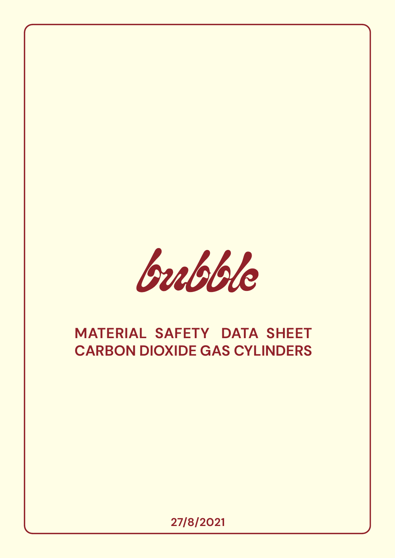

# **MATERIAL SAFETY DATA SHEET CARBON DIOXIDE GAS CYLINDERS**

**27/8/2021**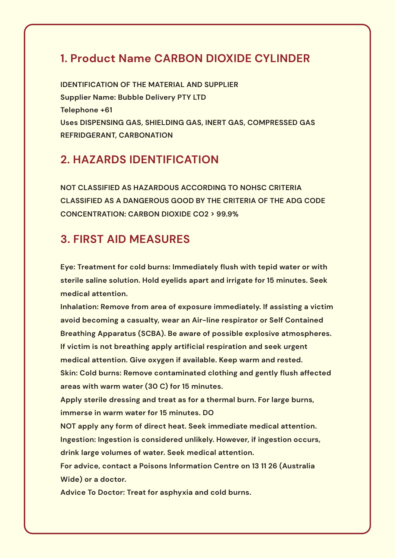#### **1. Product Name CARBON DIOXIDE CYLINDER**

**IDENTIFICATION OF THE MATERIAL AND SUPPLIER Supplier Name: Bubble Delivery PTY LTD Telephone +61 Uses DISPENSING GAS, SHIELDING GAS, INERT GAS, COMPRESSED GAS REFRIDGERANT, CARBONATION**

#### **2. HAZARDS IDENTIFICATION**

**NOT CLASSIFIED AS HAZARDOUS ACCORDING TO NOHSC CRITERIA CLASSIFIED AS A DANGEROUS GOOD BY THE CRITERIA OF THE ADG CODE CONCENTRATION: CARBON DIOXIDE CO2 > 99.9%**

#### **3. FIRST AID MEASURES**

**Eye: Treatment for cold burns: Immediately flush with tepid water or with sterile saline solution. Hold eyelids apart and irrigate for 15 minutes. Seek medical attention.**

**Inhalation: Remove from area of exposure immediately. If assisting a victim avoid becoming a casualty, wear an Air-line respirator or Self Contained Breathing Apparatus (SCBA). Be aware of possible explosive atmospheres. If victim is not breathing apply artificial respiration and seek urgent medical attention. Give oxygen if available. Keep warm and rested. Skin: Cold burns: Remove contaminated clothing and gently flush affected areas with warm water (30 C) for 15 minutes.**

**Apply sterile dressing and treat as for a thermal burn. For large burns, immerse in warm water for 15 minutes. DO**

**NOT apply any form of direct heat. Seek immediate medical attention. Ingestion: Ingestion is considered unlikely. However, if ingestion occurs, drink large volumes of water. Seek medical attention.**

**For advice, contact a Poisons Information Centre on 13 11 26 (Australia Wide) or a doctor.**

**Advice To Doctor: Treat for asphyxia and cold burns.**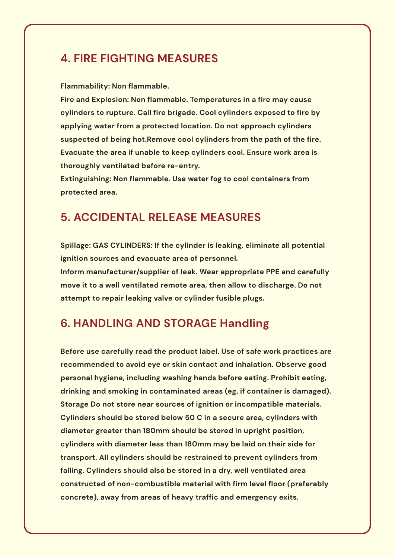#### **4. FIRE FIGHTING MEASURES**

**Flammability: Non flammable.**

**Fire and Explosion: Non flammable. Temperatures in a fire may cause cylinders to rupture. Call fire brigade. Cool cylinders exposed to fire by applying water from a protected location. Do not approach cylinders suspected of being hot.Remove cool cylinders from the path of the fire. Evacuate the area if unable to keep cylinders cool. Ensure work area is thoroughly ventilated before re-entry.**

**Extinguishing: Non flammable. Use water fog to cool containers from protected area.**

#### **5. ACCIDENTAL RELEASE MEASURES**

**Spillage: GAS CYLINDERS: If the cylinder is leaking, eliminate all potential ignition sources and evacuate area of personnel.**

**Inform manufacturer/supplier of leak. Wear appropriate PPE and carefully move it to a well ventilated remote area, then allow to discharge. Do not attempt to repair leaking valve or cylinder fusible plugs.**

# **6. HANDLING AND STORAGE Handling**

**Before use carefully read the product label. Use of safe work practices are recommended to avoid eye or skin contact and inhalation. Observe good personal hygiene, including washing hands before eating. Prohibit eating, drinking and smoking in contaminated areas (eg. if container is damaged). Storage Do not store near sources of ignition or incompatible materials. Cylinders should be stored below 50 C in a secure area, cylinders with diameter greater than 180mm should be stored in upright position, cylinders with diameter less than 180mm may be laid on their side for transport. All cylinders should be restrained to prevent cylinders from falling. Cylinders should also be stored in a dry, well ventilated area constructed of non-combustible material with firm level floor (preferably concrete), away from areas of heavy traffic and emergency exits.**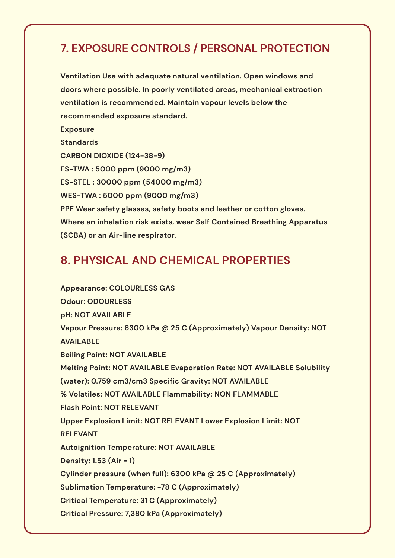## **7. EXPOSURE CONTROLS / PERSONAL PROTECTION**

**Ventilation Use with adequate natural ventilation. Open windows and doors where possible. In poorly ventilated areas, mechanical extraction ventilation is recommended. Maintain vapour levels below the recommended exposure standard. Exposure Standards CARBON DIOXIDE (124-38-9) ES-TWA : 5000 ppm (9000 mg/m3) ES-STEL : 30000 ppm (54000 mg/m3) WES-TWA : 5000 ppm (9000 mg/m3) PPE Wear safety glasses, safety boots and leather or cotton gloves. Where an inhalation risk exists, wear Self Contained Breathing Apparatus (SCBA) or an Air-line respirator.**

#### **8. PHYSICAL AND CHEMICAL PROPERTIES**

**Appearance: COLOURLESS GAS Odour: ODOURLESS pH: NOT AVAILABLE Vapour Pressure: 6300 kPa @ 25 C (Approximately) Vapour Density: NOT AVAILABLE Boiling Point: NOT AVAILABLE Melting Point: NOT AVAILABLE Evaporation Rate: NOT AVAILABLE Solubility (water): 0.759 cm3/cm3 Specific Gravity: NOT AVAILABLE % Volatiles: NOT AVAILABLE Flammability: NON FLAMMABLE Flash Point: NOT RELEVANT Upper Explosion Limit: NOT RELEVANT Lower Explosion Limit: NOT RELEVANT Autoignition Temperature: NOT AVAILABLE Density: 1.53 (Air = 1) Cylinder pressure (when full): 6300 kPa @ 25 C (Approximately) Sublimation Temperature: -78 C (Approximately) Critical Temperature: 31 C (Approximately) Critical Pressure: 7,380 kPa (Approximately)**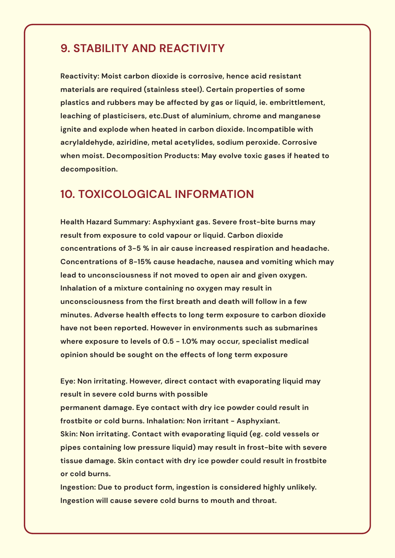#### **9. STABILITY AND REACTIVITY**

**Reactivity: Moist carbon dioxide is corrosive, hence acid resistant materials are required (stainless steel). Certain properties of some plastics and rubbers may be affected by gas or liquid, ie. embrittlement, leaching of plasticisers, etc.Dust of aluminium, chrome and manganese ignite and explode when heated in carbon dioxide. Incompatible with acrylaldehyde, aziridine, metal acetylides, sodium peroxide. Corrosive when moist. Decomposition Products: May evolve toxic gases if heated to decomposition.**

#### **10. TOXICOLOGICAL INFORMATION**

**Health Hazard Summary: Asphyxiant gas. Severe frost-bite burns may result from exposure to cold vapour or liquid. Carbon dioxide concentrations of 3-5 % in air cause increased respiration and headache. Concentrations of 8-15% cause headache, nausea and vomiting which may lead to unconsciousness if not moved to open air and given oxygen. Inhalation of a mixture containing no oxygen may result in unconsciousness from the first breath and death will follow in a few minutes. Adverse health effects to long term exposure to carbon dioxide have not been reported. However in environments such as submarines where exposure to levels of 0.5 - 1.0% may occur, specialist medical opinion should be sought on the effects of long term exposure**

**Eye: Non irritating. However, direct contact with evaporating liquid may result in severe cold burns with possible permanent damage. Eye contact with dry ice powder could result in frostbite or cold burns. Inhalation: Non irritant - Asphyxiant. Skin: Non irritating. Contact with evaporating liquid (eg. cold vessels or pipes containing low pressure liquid) may result in frost-bite with severe tissue damage. Skin contact with dry ice powder could result in frostbite or cold burns.**

**Ingestion: Due to product form, ingestion is considered highly unlikely. Ingestion will cause severe cold burns to mouth and throat.**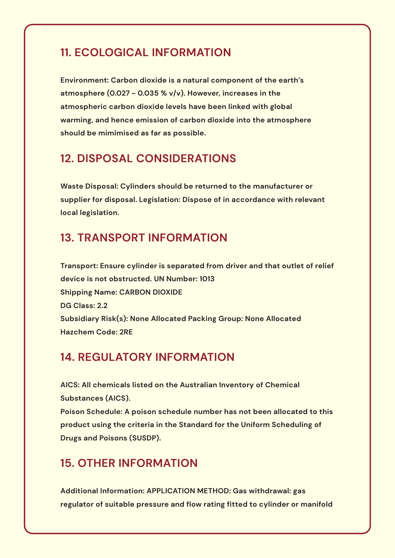#### **11. ECOLOGICAL INFORMATION**

**Environment: Carbon dioxide is a natural component of the earth's atmosphere (0.027 - 0.035 % v/v). However, increases in the atmospheric carbon dioxide levels have been linked with global warming, and hence emission of carbon dioxide into the atmosphere should be mimimised as far as possible.**

#### **12. DISPOSAL CONSIDERATIONS**

**Waste Disposal: Cylinders should be returned to the manufacturer or supplier for disposal. Legislation: Dispose of in accordance with relevant local legislation.**

#### **13. TRANSPORT INFORMATION**

**Transport: Ensure cylinder is separated from driver and that outlet of relief device is not obstructed. UN Number: 1013 Shipping Name: CARBON DIOXIDE DG Class: 2.2 Subsidiary Risk(s): None Allocated Packing Group: None Allocated Hazchem Code: 2RE**

#### **14. REGULATORY INFORMATION**

**AICS: All chemicals listed on the Australian Inventory of Chemical Substances (AICS).**

**Poison Schedule: A poison schedule number has not been allocated to this product using the criteria in the Standard for the Uniform Scheduling of Drugs and Poisons (SUSDP).**

### **15. OTHER INFORMATION**

**Additional Information: APPLICATION METHOD: Gas withdrawal: gas regulator of suitable pressure and flow rating fitted to cylinder or manifold**